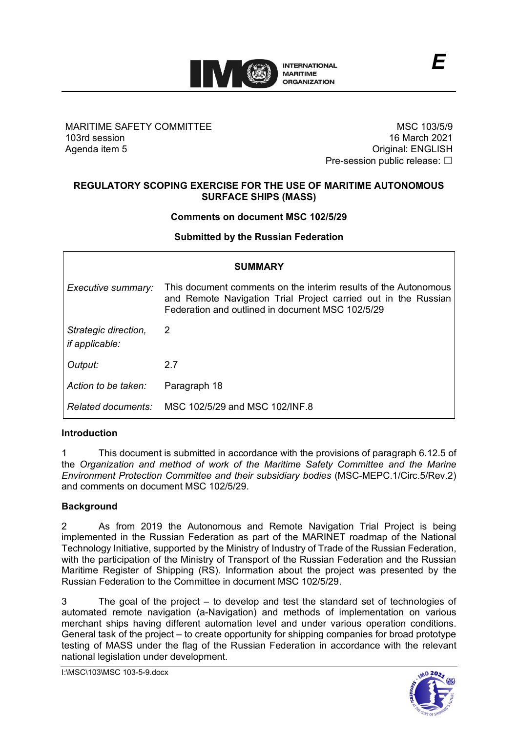

# MARITIME SAFETY COMMITTEE 103rd session Agenda item 5

MSC 103/5/9 16 March 2021 Original: ENGLISH Pre-session public release: □

*E*

# **REGULATORY SCOPING EXERCISE FOR THE USE OF MARITIME AUTONOMOUS SURFACE SHIPS (MASS)**

### **Comments on document MSC 102/5/29**

**Submitted by the Russian Federation**

| <b>SUMMARY</b>                                |                                                                                                                                                                                       |
|-----------------------------------------------|---------------------------------------------------------------------------------------------------------------------------------------------------------------------------------------|
| Executive summary:                            | This document comments on the interim results of the Autonomous<br>and Remote Navigation Trial Project carried out in the Russian<br>Federation and outlined in document MSC 102/5/29 |
| Strategic direction,<br><i>if applicable:</i> | 2                                                                                                                                                                                     |
| Output:                                       | 27                                                                                                                                                                                    |
| Action to be taken:                           | Paragraph 18                                                                                                                                                                          |
| Related documents:                            | MSC 102/5/29 and MSC 102/INF 8                                                                                                                                                        |

### **Introduction**

1 This document is submitted in accordance with the provisions of paragraph 6.12.5 of the *Organization and method of work of the Maritime Safety Committee and the Marine Environment Protection Committee and their subsidiary bodies* (MSC-MEPC.1/Circ.5/Rev.2) and comments on document MSC 102/5/29.

### **Background**

2 As from 2019 the Autonomous and Remote Navigation Trial Project is being implemented in the Russian Federation as part of the MARINET roadmap of the National Technology Initiative, supported by the Ministry of Industry of Trade of the Russian Federation, with the participation of the Ministry of Transport of the Russian Federation and the Russian Maritime Register of Shipping (RS). Information about the project was presented by the Russian Federation to the Committee in document MSC 102/5/29.

3 The goal of the project – to develop and test the standard set of technologies of automated remote navigation (a-Navigation) and methods of implementation on various merchant ships having different automation level and under various operation conditions. General task of the project – to create opportunity for shipping companies for broad prototype testing of MASS under the flag of the Russian Federation in accordance with the relevant national legislation under development.

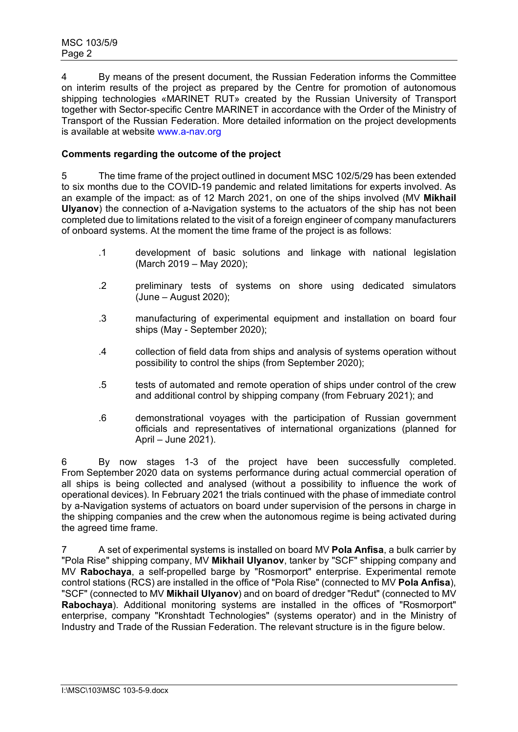4 By means of the present document, the Russian Federation informs the Committee on interim results of the project as prepared by the Centre for promotion of autonomous shipping technologies «MARINET RUT» created by the Russian University of Transport together with Sector-specific Centre MARINET in accordance with the Order of the Ministry of Transport of the Russian Federation. More detailed information on the project developments is available at website [www.a-nav.org](http://www.a-nav.org/)

# **Comments regarding the outcome of the project**

5 The time frame of the project outlined in document MSC 102/5/29 has been extended to six months due to the COVID-19 pandemic and related limitations for experts involved. As an example of the impact: as of 12 March 2021, on one of the ships involved (MV **Mikhail Ulyanov**) the connection of a-Navigation systems to the actuators of the ship has not been completed due to limitations related to the visit of a foreign engineer of company manufacturers of onboard systems. At the moment the time frame of the project is as follows:

- .1 development of basic solutions and linkage with national legislation (March 2019 – May 2020);
- .2 preliminary tests of systems on shore using dedicated simulators (June – August 2020);
- .3 manufacturing of experimental equipment and installation on board four ships (May - September 2020);
- .4 collection of field data from ships and analysis of systems operation without possibility to control the ships (from September 2020);
- .5 tests of automated and remote operation of ships under control of the crew and additional control by shipping company (from February 2021); and
- .6 demonstrational voyages with the participation of Russian government officials and representatives of international organizations (planned for April – June 2021).

6 By now stages 1-3 of the project have been successfully completed. From September 2020 data on systems performance during actual commercial operation of all ships is being collected and analysed (without a possibility to influence the work of operational devices). In February 2021 the trials continued with the phase of immediate control by a-Navigation systems of actuators on board under supervision of the persons in charge in the shipping companies and the crew when the autonomous regime is being activated during the agreed time frame.

7 A set of experimental systems is installed on board MV **Pola Anfisa**, a bulk carrier by "Pola Rise" shipping company, MV **Mikhail Ulyanov**, tanker by "SCF" shipping company and MV **Rabochaya**, a self-propelled barge by "Rosmorport" enterprise. Experimental remote control stations (RCS) are installed in the office of "Pola Rise" (connected to MV **Pola Anfisa**), "SCF" (connected to MV **Mikhail Ulyanov**) and on board of dredger "Redut" (connected to MV **Rabochaya**). Additional monitoring systems are installed in the offices of "Rosmorport" enterprise, company "Kronshtadt Technologies" (systems operator) and in the Ministry of Industry and Trade of the Russian Federation. The relevant structure is in the figure below.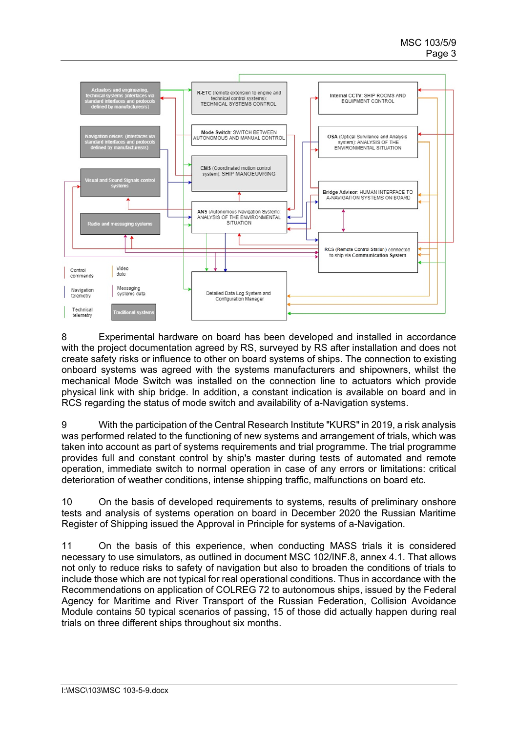

8 Experimental hardware on board has been developed and installed in accordance with the project documentation agreed by RS, surveyed by RS after installation and does not create safety risks or influence to other on board systems of ships. The connection to existing onboard systems was agreed with the systems manufacturers and shipowners, whilst the mechanical Mode Switch was installed on the connection line to actuators which provide physical link with ship bridge. In addition, a constant indication is available on board and in RCS regarding the status of mode switch and availability of a-Navigation systems.

9 With the participation of the Central Research Institute "KURS" in 2019, a risk analysis was performed related to the functioning of new systems and arrangement of trials, which was taken into account as part of systems requirements and trial programme. The trial programme provides full and constant control by ship's master during tests of automated and remote operation, immediate switch to normal operation in case of any errors or limitations: critical deterioration of weather conditions, intense shipping traffic, malfunctions on board etc.

10 On the basis of developed requirements to systems, results of preliminary onshore tests and analysis of systems operation on board in December 2020 the Russian Maritime Register of Shipping issued the Approval in Principle for systems of a-Navigation.

11 On the basis of this experience, when conducting MASS trials it is considered necessary to use simulators, as outlined in document MSC 102/INF.8, annex 4.1. That allows not only to reduce risks to safety of navigation but also to broaden the conditions of trials to include those which are not typical for real operational conditions. Thus in accordance with the Recommendations on application of COLREG 72 to autonomous ships, issued by the Federal Agency for Maritime and River Transport of the Russian Federation, Collision Avoidance Module contains 50 typical scenarios of passing, 15 of those did actually happen during real trials on three different ships throughout six months.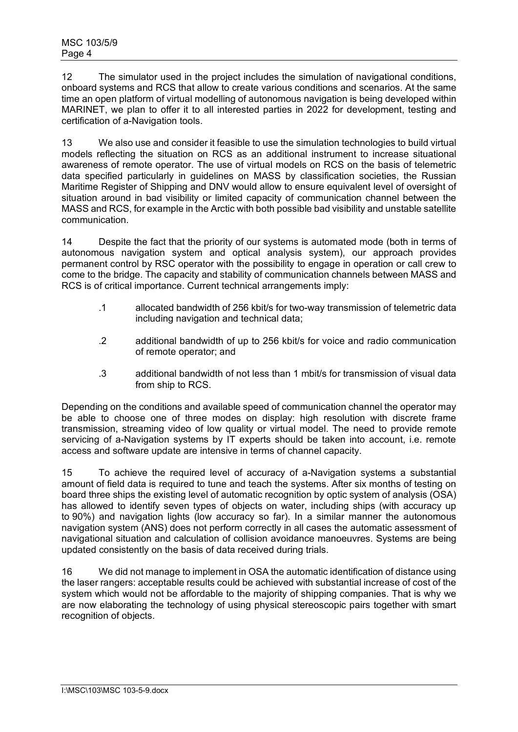12 The simulator used in the project includes the simulation of navigational conditions, onboard systems and RCS that allow to create various conditions and scenarios. At the same time an open platform of virtual modelling of autonomous navigation is being developed within MARINET, we plan to offer it to all interested parties in 2022 for development, testing and certification of a-Navigation tools.

13 We also use and consider it feasible to use the simulation technologies to build virtual models reflecting the situation on RCS as an additional instrument to increase situational awareness of remote operator. The use of virtual models on RCS on the basis of telemetric data specified particularly in guidelines on MASS by classification societies, the Russian Maritime Register of Shipping and DNV would allow to ensure equivalent level of oversight of situation around in bad visibility or limited capacity of communication channel between the MASS and RCS, for example in the Arctic with both possible bad visibility and unstable satellite communication.

14 Despite the fact that the priority of our systems is automated mode (both in terms of autonomous navigation system and optical analysis system), our approach provides permanent control by RSC operator with the possibility to engage in operation or call crew to come to the bridge. The capacity and stability of communication channels between MASS and RCS is of critical importance. Current technical arrangements imply:

- .1 allocated bandwidth of 256 kbit/s for two-way transmission of telemetric data including navigation and technical data;
- .2 additional bandwidth of up to 256 kbit/s for voice and radio communication of remote operator; and
- .3 additional bandwidth of not less than 1 mbit/s for transmission of visual data from ship to RCS.

Depending on the conditions and available speed of communication channel the operator may be able to choose one of three modes on display: high resolution with discrete frame transmission, streaming video of low quality or virtual model. The need to provide remote servicing of a-Navigation systems by IT experts should be taken into account, i.e. remote access and software update are intensive in terms of channel capacity.

15 To achieve the required level of accuracy of a-Navigation systems a substantial amount of field data is required to tune and teach the systems. After six months of testing on board three ships the existing level of automatic recognition by optic system of analysis (OSA) has allowed to identify seven types of objects on water, including ships (with accuracy up to 90%) and navigation lights (low accuracy so far). In a similar manner the autonomous navigation system (ANS) does not perform correctly in all cases the automatic assessment of navigational situation and calculation of collision avoidance manoeuvres. Systems are being updated consistently on the basis of data received during trials.

16 We did not manage to implement in OSA the automatic identification of distance using the laser rangers: acceptable results could be achieved with substantial increase of cost of the system which would not be affordable to the majority of shipping companies. That is why we are now elaborating the technology of using physical stereoscopic pairs together with smart recognition of objects.